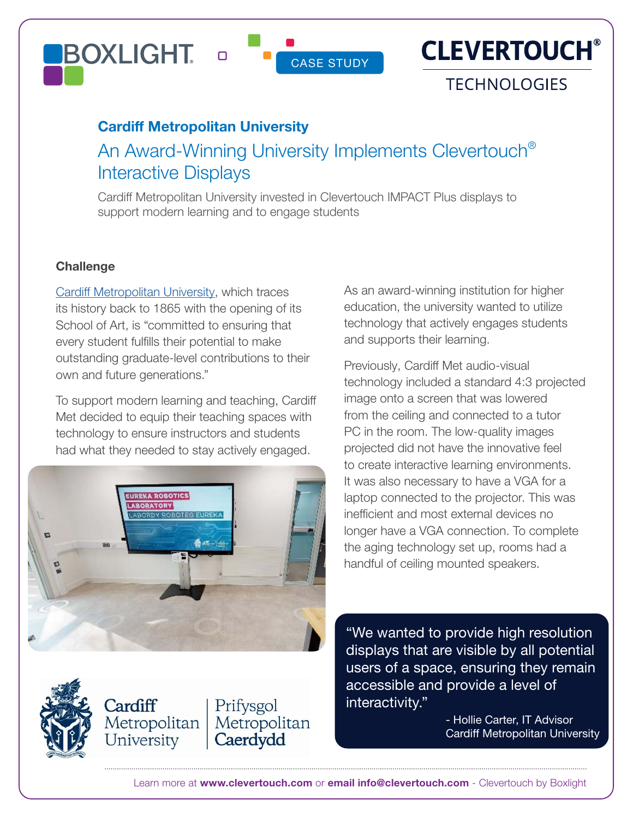#### **BOXLIGHT**  $\Box$



### **TECHNOLOGIES**

#### Cardiff Metropolitan University

# An Award-Winning University Implements Clevertouch® Interactive Displays

CASE STUDY

Cardiff Metropolitan University invested in Clevertouch IMPACT Plus displays to support modern learning and to engage students

#### **Challenge**

[Cardiff Metropolitan University,](https://www.cardiffmet.ac.uk/Pages/default.aspx) which traces its history back to 1865 with the opening of its School of Art, is "committed to ensuring that every student fulfills their potential to make outstanding graduate-level contributions to their own and future generations."

To support modern learning and teaching, Cardiff Met decided to equip their teaching spaces with technology to ensure instructors and students had what they needed to stay actively engaged.



Prifysgol

Caerdydd

Metropolitan

Cardiff

Metropolitan

University

As an award-winning institution for higher education, the university wanted to utilize technology that actively engages students and supports their learning.

Previously, Cardiff Met audio-visual technology included a standard 4:3 projected image onto a screen that was lowered from the ceiling and connected to a tutor PC in the room. The low-quality images projected did not have the innovative feel to create interactive learning environments. It was also necessary to have a VGA for a laptop connected to the projector. This was inefficient and most external devices no longer have a VGA connection. To complete the aging technology set up, rooms had a handful of ceiling mounted speakers.

"We wanted to provide high resolution displays that are visible by all potential users of a space, ensuring they remain accessible and provide a level of interactivity."

> - Hollie Carter, IT Advisor Cardiff Metropolitan University